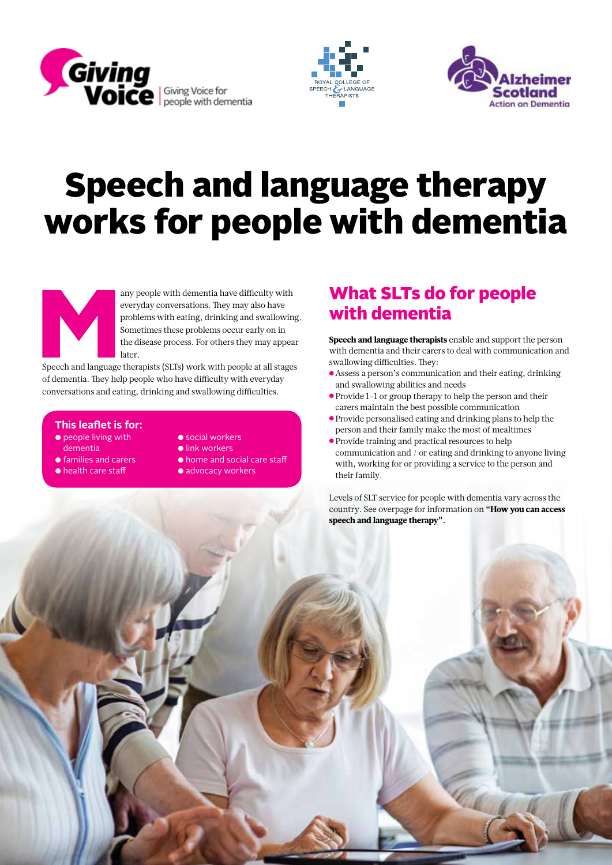





# Speech and language therapy works for people with dementia



any people with dementia have difficulty with<br>everyday conversations. They may also have<br>problems with eating, drinking and swallowin<br>Sometimes these problems occur early on in<br>the disease process. For others they may appe everyday conversations. They may also have problems with eating, drinking and swallowing. Sometimes these problems occur early on in the disease process. For others they may appear later.

Speech and language therapists (SLTs) work with people at all stages of dementia. They help people who have difficulty with everyday conversations and eating, drinking and swallowing difficulties.

#### **This leaflet is for:**

- people living with dementia
- families and carers
- health care staff
- social workers
- link workers
- home and social care staff
- advocacy workers

## What SLTs do for people with dementia

Speech and language therapists enable and support the person with dementia and their carers to deal with communication and swallowing difficulties. They:

- Assess a person's communication and their eating, drinking and swallowing abilities and needs
- Provide 1-1 or group therapy to help the person and their carers maintain the best possible communication
- Provide personalised eating and drinking plans to help the person and their family make the most of mealtimes
- Provide training and practical resources to help communication and / or eating and drinking to anyone living with, working for or providing a service to the person and their family.

Levels of SLT service for people with dementia vary across the country. See overpage for information on "How you can access speech and language therapy".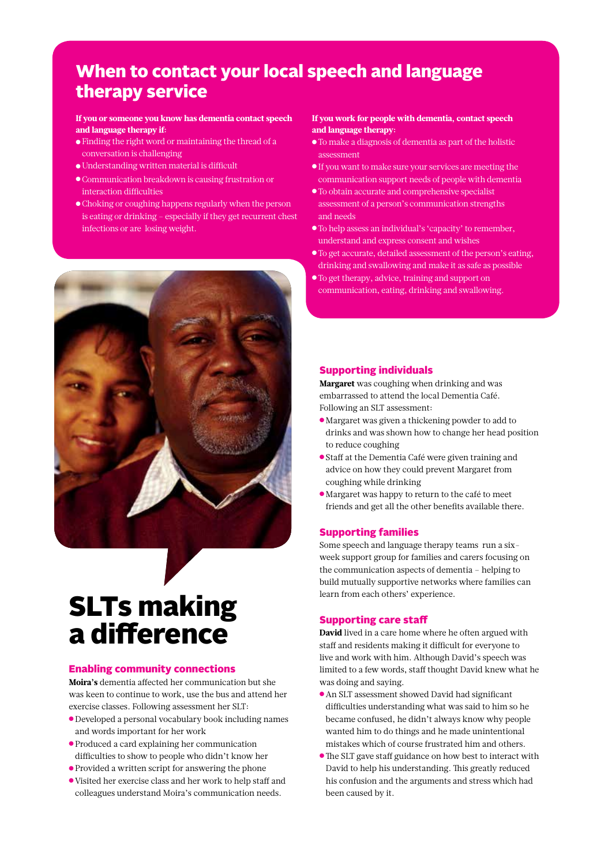## When to contact your local speech and language therapy service

#### If you or someone you know has dementia contact speech and language therapy if:

- Finding the right word or maintaining the thread of a conversation is challenging
- Understanding written material is difficult
- Communication breakdown is causing frustration or interaction difficulties
- Choking or coughing happens regularly when the person is eating or drinking – especially if they get recurrent chest infections or are losing weight.



## SLTs making a difference

#### Enabling community connections

Moira's dementia affected her communication but she was keen to continue to work, use the bus and attend her exercise classes. Following assessment her SLT:

- Developed a personal vocabulary book including names and words important for her work
- Produced a card explaining her communication difficulties to show to people who didn't know her
- Provided a written script for answering the phone
- Visited her exercise class and her work to help staff and colleagues understand Moira's communication needs.

#### If you work for people with dementia, contact speech and language therapy:

- To make a diagnosis of dementia as part of the holistic assessment
- If you want to make sure your services are meeting the communication support needs of people with dementia
- To obtain accurate and comprehensive specialist assessment of a person's communication strengths and needs
- To help assess an individual's 'capacity' to remember, understand and express consent and wishes
- To get accurate, detailed assessment of the person's eating, drinking and swallowing and make it as safe as possible
- To get therapy, advice, training and support on communication, eating, drinking and swallowing.

#### Supporting individuals

Margaret was coughing when drinking and was embarrassed to attend the local Dementia Café. Following an SLT assessment:

- Margaret was given a thickening powder to add to drinks and was shown how to change her head position to reduce coughing
- Staff at the Dementia Café were given training and advice on how they could prevent Margaret from coughing while drinking
- Margaret was happy to return to the café to meet friends and get all the other benefits available there.

#### Supporting families

Some speech and language therapy teams run a sixweek support group for families and carers focusing on the communication aspects of dementia – helping to build mutually supportive networks where families can learn from each others' experience.

#### Supporting care staff

David lived in a care home where he often argued with staff and residents making it difficult for everyone to live and work with him. Although David's speech was limited to a few words, staff thought David knew what he was doing and saying.

- An SLT assessment showed David had significant difficulties understanding what was said to him so he became confused, he didn't always know why people wanted him to do things and he made unintentional mistakes which of course frustrated him and others.
- ●The SLT gave staff guidance on how best to interact with David to help his understanding. This greatly reduced his confusion and the arguments and stress which had been caused by it.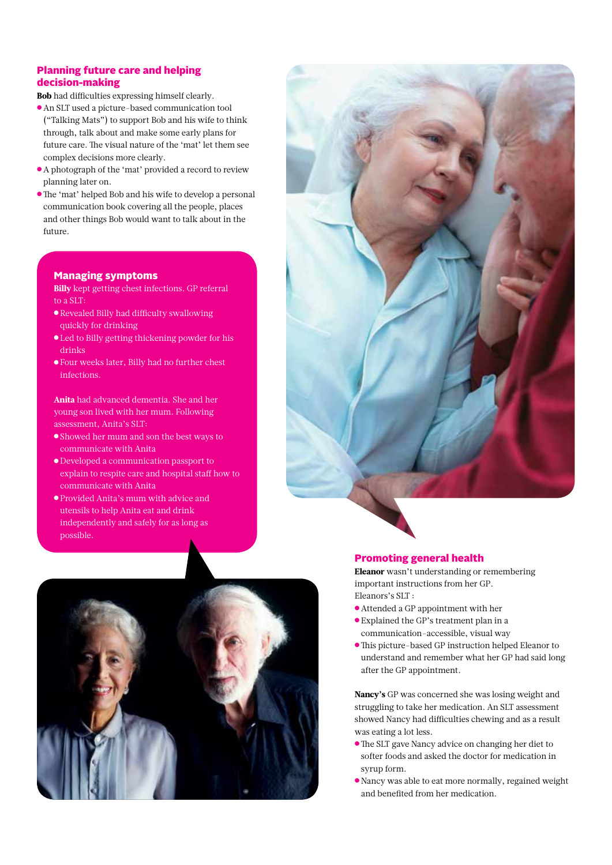#### Planning future care and helping decision-making

Bob had difficulties expressing himself clearly.

- An SLT used a picture-based communication tool ("Talking Mats") to support Bob and his wife to think through, talk about and make some early plans for future care. The visual nature of the 'mat' let them see complex decisions more clearly.
- A photograph of the 'mat' provided a record to review planning later on.
- ●The 'mat' helped Bob and his wife to develop a personal communication book covering all the people, places and other things Bob would want to talk about in the future.

#### Managing symptoms

Billy kept getting chest infections. GP referral to a SLT:

- Revealed Billy had difficulty swallowing quickly for drinking
- Led to Billy getting thickening powder for his drinks
- Four weeks later, Billy had no further chest infections.

Anita had advanced dementia. She and her young son lived with her mum. Following assessment, Anita's SLT:

- Showed her mum and son the best ways to communicate with Anita
- Developed a communication passport to explain to respite care and hospital staff how to communicate with Anita
- Provided Anita's mum with advice and utensils to help Anita eat and drink independently and safely for as long as possible.



#### Promoting general health

Eleanor wasn't understanding or remembering important instructions from her GP. Eleanors's SLT :

- Attended a GP appointment with her
- Explained the GP's treatment plan in a communication-accessible, visual way
- ●This picture-based GP instruction helped Eleanor to understand and remember what her GP had said long after the GP appointment.

Nancy's GP was concerned she was losing weight and struggling to take her medication. An SLT assessment showed Nancy had difficulties chewing and as a result was eating a lot less.

- ●The SLT gave Nancy advice on changing her diet to softer foods and asked the doctor for medication in syrup form.
- Nancy was able to eat more normally, regained weight and benefited from her medication.